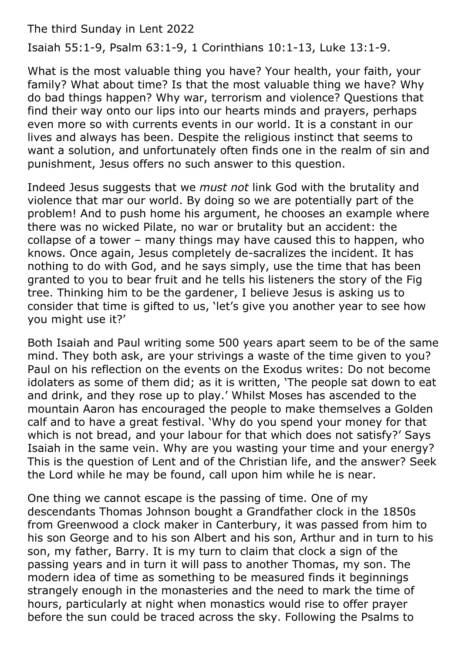The third Sunday in Lent 2022

Isaiah 55:1-9, Psalm 63:1-9, 1 Corinthians 10:1-13, Luke 13:1-9.

What is the most valuable thing you have? Your health, your faith, your family? What about time? Is that the most valuable thing we have? Why do bad things happen? Why war, terrorism and violence? Questions that find their way onto our lips into our hearts minds and prayers, perhaps even more so with currents events in our world. It is a constant in our lives and always has been. Despite the religious instinct that seems to want a solution, and unfortunately often finds one in the realm of sin and punishment, Jesus offers no such answer to this question.

Indeed Jesus suggests that we *must not* link God with the brutality and violence that mar our world. By doing so we are potentially part of the problem! And to push home his argument, he chooses an example where there was no wicked Pilate, no war or brutality but an accident: the collapse of a tower – many things may have caused this to happen, who knows. Once again, Jesus completely de-sacralizes the incident. It has nothing to do with God, and he says simply, use the time that has been granted to you to bear fruit and he tells his listeners the story of the Fig tree. Thinking him to be the gardener, I believe Jesus is asking us to consider that time is gifted to us, 'let's give you another year to see how you might use it?'

Both Isaiah and Paul writing some 500 years apart seem to be of the same mind. They both ask, are your strivings a waste of the time given to you? Paul on his reflection on the events on the Exodus writes: Do not become idolaters as some of them did; as it is written, 'The people sat down to eat and drink, and they rose up to play.' Whilst Moses has ascended to the mountain Aaron has encouraged the people to make themselves a Golden calf and to have a great festival. 'Why do you spend your money for that which is not bread, and your labour for that which does not satisfy?' Says Isaiah in the same vein. Why are you wasting your time and your energy? This is the question of Lent and of the Christian life, and the answer? Seek the Lord while he may be found, call upon him while he is near.

One thing we cannot escape is the passing of time. One of my descendants Thomas Johnson bought a Grandfather clock in the 1850s from Greenwood a clock maker in Canterbury, it was passed from him to his son George and to his son Albert and his son, Arthur and in turn to his son, my father, Barry. It is my turn to claim that clock a sign of the passing years and in turn it will pass to another Thomas, my son. The modern idea of time as something to be measured finds it beginnings strangely enough in the monasteries and the need to mark the time of hours, particularly at night when monastics would rise to offer prayer before the sun could be traced across the sky. Following the Psalms to